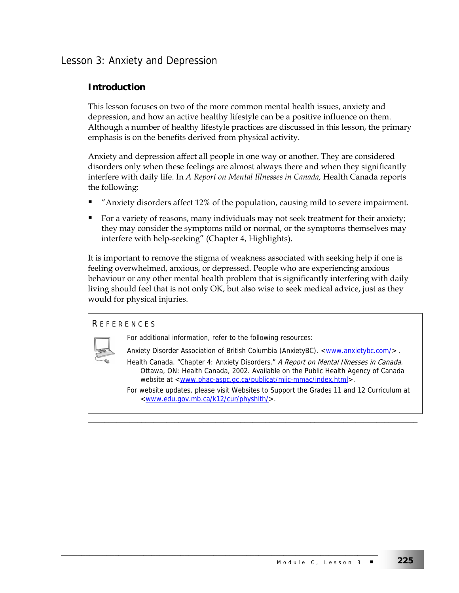# Lesson 3: Anxiety and Depression

## **Introduction**

This lesson focuses on two of the more common mental health issues, anxiety and depression, and how an active healthy lifestyle can be a positive influence on them. Although a number of healthy lifestyle practices are discussed in this lesson, the primary emphasis is on the benefits derived from physical activity.

Anxiety and depression affect all people in one way or another. They are considered disorders only when these feelings are almost always there and when they significantly interfere with daily life. In *A Report on Mental Illnesses in Canada,* Health Canada reports the following:

- "Anxiety disorders affect 12% of the population, causing mild to severe impairment.
- For a variety of reasons, many individuals may not seek treatment for their anxiety; they may consider the symptoms mild or normal, or the symptoms themselves may interfere with help-seeking" (Chapter 4, Highlights).

It is important to remove the stigma of weakness associated with seeking help if one is feeling overwhelmed, anxious, or depressed. People who are experiencing anxious behaviour or any other mental health problem that is significantly interfering with daily living should feel that is not only OK, but also wise to seek medical advice, just as they would for physical injuries.

#### R EFERENCES

For additional information, refer to the following resources:

\_\_\_\_\_\_\_\_\_\_\_\_\_\_\_\_\_\_\_\_\_\_\_\_\_\_\_\_\_\_\_\_\_\_\_\_\_\_\_\_\_\_\_\_\_\_\_\_\_\_\_\_\_\_\_\_\_\_\_\_\_\_\_\_\_\_\_\_\_\_\_\_\_\_\_\_\_

Anxiety Disorder Association of British Columbia (AnxietyBC). <**www.anxietybc.com/>** .

- Health Canada. "Chapter 4: Anxiety Disorders." A Report on Mental Illnesses in Canada. Ottawa, ON: Health Canada, 2002. Available on the Public Health Agency of Canada website at <www.phac-aspc.gc.ca/publicat/miic-mmac/index.html>.
- For website updates, please visit Websites to Support the Grades 11 and 12 Curriculum at <www.edu.gov.mb.ca/k12/cur/physhlth/>.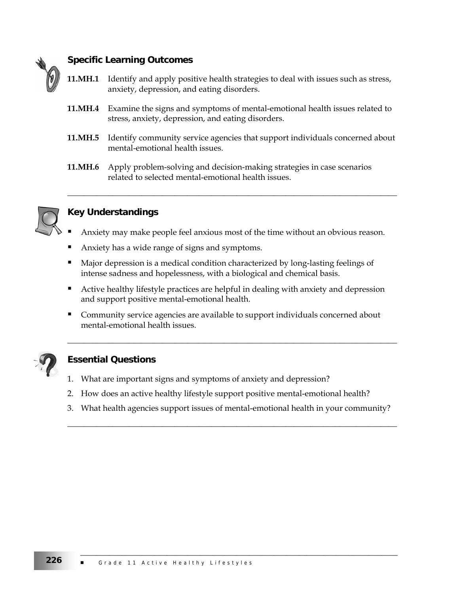

## **Specific Learning Outcomes**

- **11.MH.1** Identify and apply positive health strategies to deal with issues such as stress, anxiety, depression, and eating disorders.
- **11.MH.4** Examine the signs and symptoms of mental-emotional health issues related to stress, anxiety, depression, and eating disorders.
- **11.MH.5** Identify community service agencies that support individuals concerned about mental-emotional health issues.

\_\_\_\_\_\_\_\_\_\_\_\_\_\_\_\_\_\_\_\_\_\_\_\_\_\_\_\_\_\_\_\_\_\_\_\_\_\_\_\_\_\_\_\_\_\_\_\_\_\_\_\_\_\_\_\_\_\_\_\_\_\_\_\_\_\_\_\_\_\_\_\_\_\_\_\_\_\_\_\_

**11.MH.6** Apply problem-solving and decision-making strategies in case scenarios related to selected mental-emotional health issues.



# **Key Understandings**

- Anxiety may make people feel anxious most of the time without an obvious reason.
- Anxiety has a wide range of signs and symptoms.
- Major depression is a medical condition characterized by long-lasting feelings of intense sadness and hopelessness, with a biological and chemical basis.
- **•** Active healthy lifestyle practices are helpful in dealing with anxiety and depression and support positive mental-emotional health.
- **Community service agencies are available to support individuals concerned about** mental-emotional health issues.

\_\_\_\_\_\_\_\_\_\_\_\_\_\_\_\_\_\_\_\_\_\_\_\_\_\_\_\_\_\_\_\_\_\_\_\_\_\_\_\_\_\_\_\_\_\_\_\_\_\_\_\_\_\_\_\_\_\_\_\_\_\_\_\_\_\_\_\_\_\_\_\_\_\_\_\_\_\_\_\_



## **Essential Questions**

- 1. What are important signs and symptoms of anxiety and depression?
- 2. How does an active healthy lifestyle support positive mental-emotional health?
- 3. What health agencies support issues of mental-emotional health in your community?

\_\_\_\_\_\_\_\_\_\_\_\_\_\_\_\_\_\_\_\_\_\_\_\_\_\_\_\_\_\_\_\_\_\_\_\_\_\_\_\_\_\_\_\_\_\_\_\_\_\_\_\_\_\_\_\_\_\_\_\_\_\_\_\_\_\_\_\_\_\_\_\_\_\_\_\_\_\_\_\_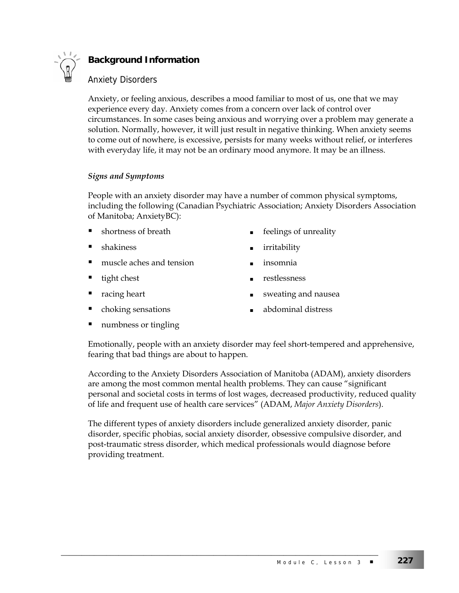

# **Background Information**

### Anxiety Disorders

Anxiety, or feeling anxious, describes a mood familiar to most of us, one that we may experience every day. Anxiety comes from a concern over lack of control over circumstances. In some cases being anxious and worrying over a problem may generate a solution. Normally, however, it will just result in negative thinking. When anxiety seems to come out of nowhere, is excessive, persists for many weeks without relief, or interferes with everyday life, it may not be an ordinary mood anymore. It may be an illness.

#### *Signs and Symptoms*

People with an anxiety disorder may have a number of common physical symptoms, including the following (Canadian Psychiatric Association; Anxiety Disorders Association of Manitoba; AnxietyBC):

- 
- 
- muscle aches and tension insomnia
- 
- 
- 
- shortness of breath **a** feelings of unreality
- shakiness and a shakiness are shakiness as the shakiness and a shaking shakine shakine shakine shakine shakine
	-
- tight chest **a** restlessness
- racing heart **■** sweating and nausea
- choking sensations abdominal distress
- numbness or tingling

Emotionally, people with an anxiety disorder may feel short-tempered and apprehensive, fearing that bad things are about to happen.

According to the Anxiety Disorders Association of Manitoba (ADAM), anxiety disorders are among the most common mental health problems. They can cause "significant personal and societal costs in terms of lost wages, decreased productivity, reduced quality of life and frequent use of health care services" (ADAM, *Major Anxiety Disorders*).

The different types of anxiety disorders include generalized anxiety disorder, panic disorder, specific phobias, social anxiety disorder, obsessive compulsive disorder, and post-traumatic stress disorder, which medical professionals would diagnose before providing treatment.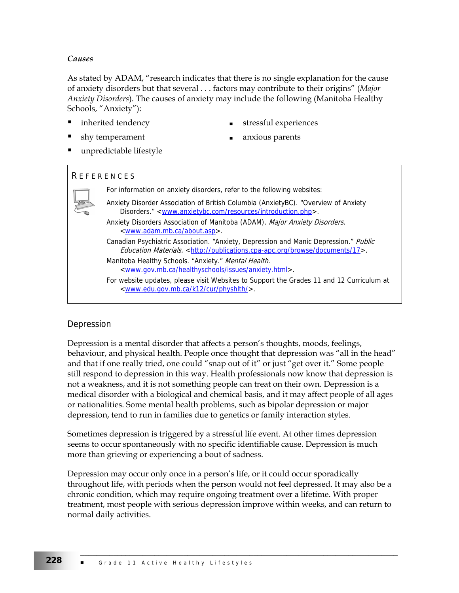#### *Causes*

As stated by ADAM, "research indicates that there is no single explanation for the cause of anxiety disorders but that several . . . factors may contribute to their origins" (*Major Anxiety Disorders*). The causes of anxiety may include the following (Manitoba Healthy Schools, "Anxiety"):

- -
- inherited tendency stressful experiences
	- shy temperament **a** anxious parents
- unpredictable lifestyle

#### R EFERENCES



### Depression

Depression is a mental disorder that affects a person's thoughts, moods, feelings, behaviour, and physical health. People once thought that depression was "all in the head" and that if one really tried, one could "snap out of it" or just "get over it." Some people still respond to depression in this way. Health professionals now know that depression is not a weakness, and it is not something people can treat on their own. Depression is a medical disorder with a biological and chemical basis, and it may affect people of all ages or nationalities. Some mental health problems, such as bipolar depression or major depression, tend to run in families due to genetics or family interaction styles.

Sometimes depression is triggered by a stressful life event. At other times depression seems to occur spontaneously with no specific identifiable cause. Depression is much more than grieving or experiencing a bout of sadness.

Depression may occur only once in a person's life, or it could occur sporadically throughout life, with periods when the person would not feel depressed. It may also be a chronic condition, which may require ongoing treatment over a lifetime. With proper treatment, most people with serious depression improve within weeks, and can return to normal daily activities.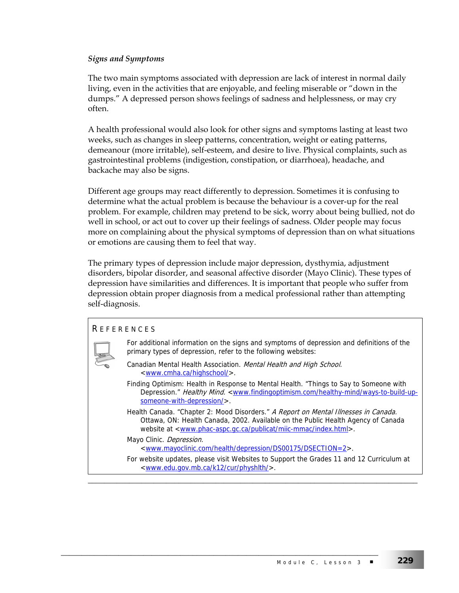#### *Signs and Symptoms*

The two main symptoms associated with depression are lack of interest in normal daily living, even in the activities that are enjoyable, and feeling miserable or "down in the dumps." A depressed person shows feelings of sadness and helplessness, or may cry often.

A health professional would also look for other signs and symptoms lasting at least two weeks, such as changes in sleep patterns, concentration, weight or eating patterns, demeanour (more irritable), self-esteem, and desire to live. Physical complaints, such as gastrointestinal problems (indigestion, constipation, or diarrhoea), headache, and backache may also be signs.

Different age groups may react differently to depression. Sometimes it is confusing to determine what the actual problem is because the behaviour is a cover-up for the real problem. For example, children may pretend to be sick, worry about being bullied, not do well in school, or act out to cover up their feelings of sadness. Older people may focus more on complaining about the physical symptoms of depression than on what situations or emotions are causing them to feel that way.

The primary types of depression include major depression, dysthymia, adjustment disorders, bipolar disorder, and seasonal affective disorder (Mayo Clinic). These types of depression have similarities and differences. It is important that people who suffer from depression obtain proper diagnosis from a medical professional rather than attempting self-diagnosis.

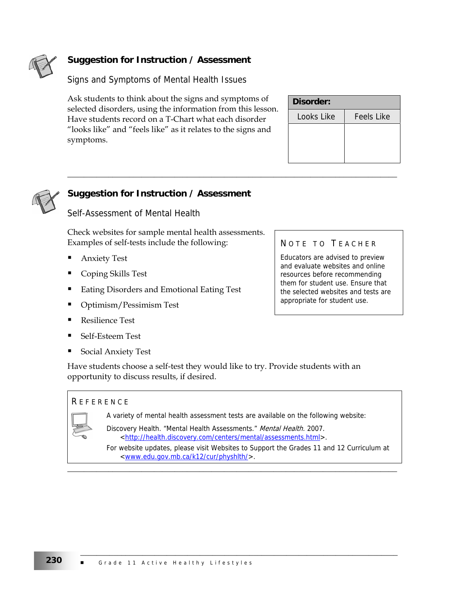

# **Suggestion for Instruction / Assessment**

Signs and Symptoms of Mental Health Issues

Ask students to think about the signs and symptoms of selected disorders, using the information from this lesson. Have students record on a T-Chart what each disorder "looks like" and "feels like" as it relates to the signs and symptoms.

| Disorder:  |                   |
|------------|-------------------|
| Looks Like | <b>Feels Like</b> |
|            |                   |
|            |                   |
|            |                   |



# **Suggestion for Instruction / Assessment**

Self-Assessment of Mental Health

Check websites for sample mental health assessments. Examples of self-tests include the following:

- Anxiety Test
- Coping Skills Test
- Eating Disorders and Emotional Eating Test
- Optimism/Pessimism Test
- Resilience Test
- Self-Esteem Test
- Social Anxiety Test

Have students choose a self-test they would like to try. Provide students with an opportunity to discuss results, if desired.

#### **REFERENCE**

A variety of mental health assessment tests are available on the following website:

\_\_\_\_\_\_\_\_\_\_\_\_\_\_\_\_\_\_\_\_\_\_\_\_\_\_\_\_\_\_\_\_\_\_\_\_\_\_\_\_\_\_\_\_\_\_\_\_\_\_\_\_\_\_\_\_\_\_\_\_\_\_\_\_\_\_\_\_\_\_\_\_\_\_\_\_\_\_\_\_

\_\_\_\_\_\_\_\_\_\_\_\_\_\_\_\_\_\_\_\_\_\_\_\_\_\_\_\_\_\_\_\_\_\_\_\_\_\_\_\_\_\_\_\_\_\_\_\_\_\_\_\_\_\_\_\_\_\_\_\_\_\_\_\_\_\_\_\_\_\_\_\_\_\_\_\_\_\_\_\_

Discovery Health. "Mental Health Assessments." Mental Health. 2007. <http://health.discovery.com/centers/mental/assessments.html>.

For website updates, please visit Websites to Support the Grades 11 and 12 Curriculum at <www.edu.gov.mb.ca/k12/cur/physhlth/>.

\_\_\_\_\_\_\_\_\_\_\_\_\_\_\_\_\_\_\_\_\_\_\_\_\_\_\_\_\_\_\_\_\_\_\_\_\_\_\_\_\_\_\_\_\_\_\_\_\_\_\_\_\_\_\_\_\_\_\_\_\_\_\_\_\_\_\_\_\_\_\_\_\_\_\_\_\_

## NOTE TO TEACHER

Educators are advised to preview and evaluate websites and online resources before recommending them for student use. Ensure that the selected websites and tests are appropriate for student use.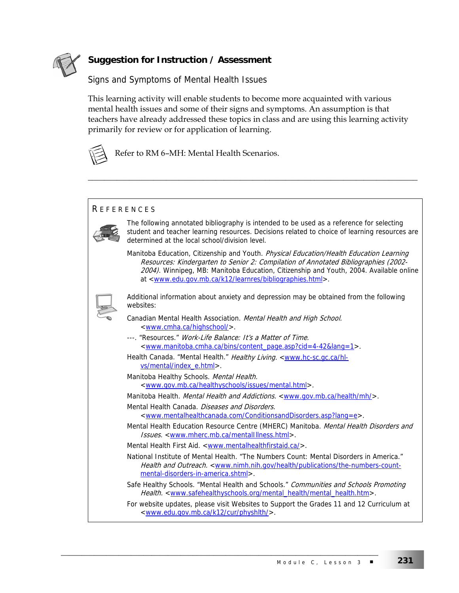

# **Suggestion for Instruction / Assessment**

### Signs and Symptoms of Mental Health Issues

This learning activity will enable students to become more acquainted with various mental health issues and some of their signs and symptoms. An assumption is that teachers have already addressed these topics in class and are using this learning activity primarily for review or for application of learning.

\_\_\_\_\_\_\_\_\_\_\_\_\_\_\_\_\_\_\_\_\_\_\_\_\_\_\_\_\_\_\_\_\_\_\_\_\_\_\_\_\_\_\_\_\_\_\_\_\_\_\_\_\_\_\_\_\_\_\_\_\_\_\_\_\_\_\_\_\_\_\_\_\_\_\_\_\_\_\_\_



Refer to RM 6–MH: Mental Health Scenarios.

#### **REFERENCES**



The following annotated bibliography is intended to be used as a reference for selecting student and teacher learning resources. Decisions related to choice of learning resources are determined at the local school/division level.

Manitoba Education, Citizenship and Youth. Physical Education/Health Education Learning Resources: Kindergarten to Senior 2: Compilation of Annotated Bibliographies (2002- 2004). Winnipeg, MB: Manitoba Education, Citizenship and Youth, 2004. Available online at <www.edu.gov.mb.ca/k12/learnres/bibliographies.html>.



Additional information about anxiety and depression may be obtained from the following websites:

- Canadian Mental Health Association. Mental Health and High School. <www.cmha.ca/highschool/>.
- ---. "Resources." Work-Life Balance: It's a Matter of Time. <www.manitoba.cmha.ca/bins/content\_page.asp?cid=4-42&lang=1>.
- Health Canada. "Mental Health." Healthy Living. <www.hc-sc.gc.ca/hlvs/mental/index\_e.html>.
- Manitoba Healthy Schools. Mental Health. <www.gov.mb.ca/healthyschools/issues/mental.html>.

Manitoba Health. Mental Health and Addictions. <www.gov.mb.ca/health/mh/>.

Mental Health Canada. Diseases and Disorders. <www.mentalhealthcanada.com/ConditionsandDisorders.asp?lang=e>.

- Mental Health Education Resource Centre (MHERC) Manitoba. Mental Health Disorders and Issues. < www.mherc.mb.ca/mentalIllness.html>.
- Mental Health First Aid. <www.mentalhealthfirstaid.ca/>.

\_\_\_\_\_\_\_\_\_\_\_\_\_\_\_\_\_\_\_\_\_\_\_\_\_\_\_\_\_\_\_\_\_\_\_\_\_\_\_\_\_\_\_\_\_\_\_\_\_\_\_\_\_\_\_\_\_\_\_\_\_\_\_\_\_\_\_\_\_\_\_\_\_\_\_\_\_

- National Institute of Mental Health. "The Numbers Count: Mental Disorders in America." Health and Outreach. <www.nimh.nih.gov/health/publications/the-numbers-countmental-disorders-in-america.shtml>.
- Safe Healthy Schools. "Mental Health and Schools." Communities and Schools Promoting Health. <www.safehealthyschools.org/mental\_health/mental\_health.htm>.

For website updates, please visit Websites to Support the Grades 11 and 12 Curriculum at <www.edu.gov.mb.ca/k12/cur/physhlth/>.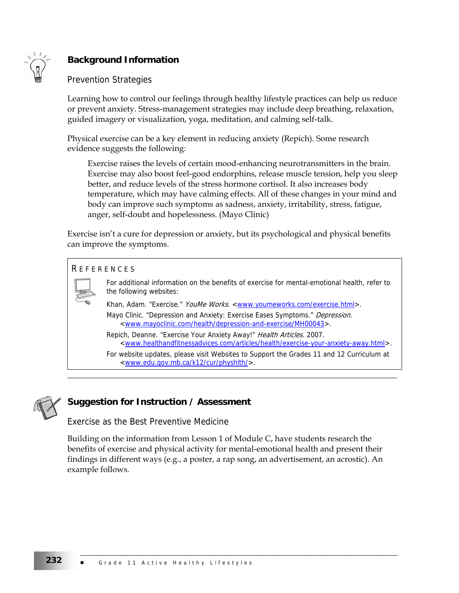

# **Background Information**

### Prevention Strategies

Learning how to control our feelings through healthy lifestyle practices can help us reduce or prevent anxiety. Stress-management strategies may include deep breathing, relaxation, guided imagery or visualization, yoga, meditation, and calming self-talk.

Physical exercise can be a key element in reducing anxiety (Repich). Some research evidence suggests the following:

Exercise raises the levels of certain mood-enhancing neurotransmitters in the brain. Exercise may also boost feel-good endorphins, release muscle tension, help you sleep better, and reduce levels of the stress hormone cortisol. It also increases body temperature, which may have calming effects. All of these changes in your mind and body can improve such symptoms as sadness, anxiety, irritability, stress, fatigue, anger, self-doubt and hopelessness. (Mayo Clinic)

Exercise isn't a cure for depression or anxiety, but its psychological and physical benefits can improve the symptoms.

#### R EFERENCES



For additional information on the benefits of exercise for mental-emotional health, refer to the following websites:

Khan, Adam. "Exercise." YouMe Works. <www.youmeworks.com/exercise.html>. Mayo Clinic. "Depression and Anxiety: Exercise Eases Symptoms." Depression. <www.mayoclinic.com/health/depression-and-exercise/MH00043>.

\_\_\_\_\_\_\_\_\_\_\_\_\_\_\_\_\_\_\_\_\_\_\_\_\_\_\_\_\_\_\_\_\_\_\_\_\_\_\_\_\_\_\_\_\_\_\_\_\_\_\_\_\_\_\_\_\_\_\_\_\_\_\_\_\_\_\_\_\_\_\_\_\_\_\_\_\_\_\_\_

Repich, Deanne. "Exercise Your Anxiety Away!" Health Articles. 2007. <www.healthandfitnessadvices.com/articles/health/exercise-your-anxiety-away.html>.

For website updates, please visit Websites to Support the Grades 11 and 12 Curriculum at <www.edu.gov.mb.ca/k12/cur/physhlth/>.



## **Suggestion for Instruction / Assessment**

Exercise as the Best Preventive Medicine

Building on the information from Lesson 1 of Module C, have students research the benefits of exercise and physical activity for mental-emotional health and present their findings in different ways (e.g., a poster, a rap song, an advertisement, an acrostic). An example follows.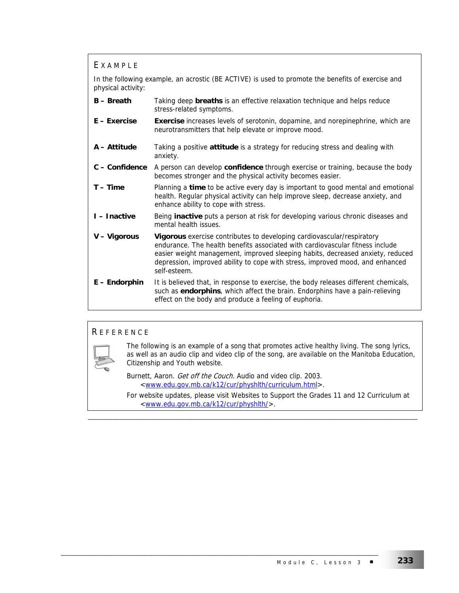#### E XAMPLE

In the following example, an acrostic (BE ACTIVE) is used to promote the benefits of exercise and physical activity:

- **B Breath** Taking deep **breaths** is an effective relaxation technique and helps reduce stress-related symptoms.
- **E Exercise Exercise** increases levels of serotonin, dopamine, and norepinephrine, which are neurotransmitters that help elevate or improve mood.
- **A Attitude** Taking a positive **attitude** is a strategy for reducing stress and dealing with anxiety.
- **C Confidence** A person can develop **confidence** through exercise or training, because the body becomes stronger and the physical activity becomes easier.
- **T Time** Planning a **time** to be active every day is important to good mental and emotional health. Regular physical activity can help improve sleep, decrease anxiety, and enhance ability to cope with stress.
- **I Inactive** Being **inactive** puts a person at risk for developing various chronic diseases and mental health issues.
- **V Vigorous Vigorous** exercise contributes to developing cardiovascular/respiratory endurance. The health benefits associated with cardiovascular fitness include easier weight management, improved sleeping habits, decreased anxiety, reduced depression, improved ability to cope with stress, improved mood, and enhanced self-esteem.
- **E Endorphin** It is believed that, in response to exercise, the body releases different chemicals, such as **endorphins**, which affect the brain. Endorphins have a pain-relieving effect on the body and produce a feeling of euphoria.

### **REFERENCE**

The following is an example of a song that promotes active healthy living. The song lyrics, as well as an audio clip and video clip of the song, are available on the Manitoba Education, Citizenship and Youth website.

Burnett, Aaron. Get off the Couch. Audio and video clip. 2003. <www.edu.gov.mb.ca/k12/cur/physhlth/curriculum.html>.

\_\_\_\_\_\_\_\_\_\_\_\_\_\_\_\_\_\_\_\_\_\_\_\_\_\_\_\_\_\_\_\_\_\_\_\_\_\_\_\_\_\_\_\_\_\_\_\_\_\_\_\_\_\_\_\_\_\_\_\_\_\_\_\_\_\_\_\_\_\_\_\_\_\_\_\_\_

For website updates, please visit Websites to Support the Grades 11 and 12 Curriculum at <www.edu.gov.mb.ca/k12/cur/physhlth/>.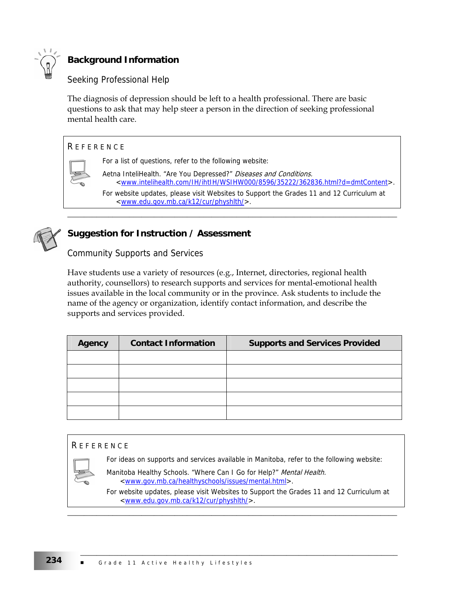

# **Background Information**

# Seeking Professional Help

The diagnosis of depression should be left to a health professional. There are basic questions to ask that may help steer a person in the direction of seeking professional mental health care.

### **REFERENCE**



For a list of questions, refer to the following website:

Aetna InteliHealth. "Are You Depressed?" Diseases and Conditions. <www.intelihealth.com/IH/ihtIH/WSIHW000/8596/35222/362836.html?d=dmtContent>. For website updates, please visit Websites to Support the Grades 11 and 12 Curriculum at <www.edu.gov.mb.ca/k12/cur/physhlth/>.

\_\_\_\_\_\_\_\_\_\_\_\_\_\_\_\_\_\_\_\_\_\_\_\_\_\_\_\_\_\_\_\_\_\_\_\_\_\_\_\_\_\_\_\_\_\_\_\_\_\_\_\_\_\_\_\_\_\_\_\_\_\_\_\_\_\_\_\_\_\_\_\_\_\_\_\_\_\_\_\_



# **Suggestion for Instruction / Assessment**

Community Supports and Services

Have students use a variety of resources (e.g., Internet, directories, regional health authority, counsellors) to research supports and services for mental-emotional health issues available in the local community or in the province. Ask students to include the name of the agency or organization, identify contact information, and describe the supports and services provided.

| <b>Agency</b> | <b>Contact Information</b> | <b>Supports and Services Provided</b> |
|---------------|----------------------------|---------------------------------------|
|               |                            |                                       |
|               |                            |                                       |
|               |                            |                                       |
|               |                            |                                       |
|               |                            |                                       |

#### **REFERENCE**

For ideas on supports and services available in Manitoba, refer to the following website:



Manitoba Healthy Schools. "Where Can I Go for Help?" Mental Health. <www.gov.mb.ca/healthyschools/issues/mental.html>.

For website updates, please visit Websites to Support the Grades 11 and 12 Curriculum at <www.edu.gov.mb.ca/k12/cur/physhlth/>.

\_\_\_\_\_\_\_\_\_\_\_\_\_\_\_\_\_\_\_\_\_\_\_\_\_\_\_\_\_\_\_\_\_\_\_\_\_\_\_\_\_\_\_\_\_\_\_\_\_\_\_\_\_\_\_\_\_\_\_\_\_\_\_\_\_\_\_\_\_\_\_\_\_\_\_\_\_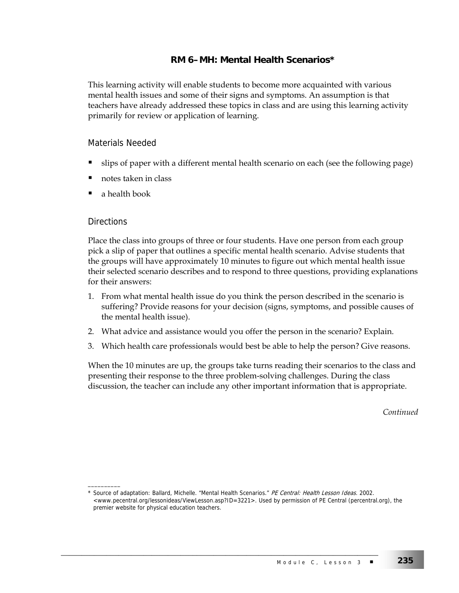## **RM 6–MH: Mental Health Scenarios\***

This learning activity will enable students to become more acquainted with various mental health issues and some of their signs and symptoms. An assumption is that teachers have already addressed these topics in class and are using this learning activity primarily for review or application of learning.

### Materials Needed

- slips of paper with a different mental health scenario on each (see the following page)
- notes taken in class
- a health book

#### **Directions**

\_\_\_\_\_\_\_\_\_\_

Place the class into groups of three or four students. Have one person from each group pick a slip of paper that outlines a specific mental health scenario. Advise students that the groups will have approximately 10 minutes to figure out which mental health issue their selected scenario describes and to respond to three questions, providing explanations for their answers:

- 1. From what mental health issue do you think the person described in the scenario is suffering? Provide reasons for your decision (signs, symptoms, and possible causes of the mental health issue).
- 2. What advice and assistance would you offer the person in the scenario? Explain.
- 3. Which health care professionals would best be able to help the person? Give reasons.

When the 10 minutes are up, the groups take turns reading their scenarios to the class and presenting their response to the three problem-solving challenges. During the class discussion, the teacher can include any other important information that is appropriate.

*Continued* 

<sup>\*</sup> Source of adaptation: Ballard, Michelle. "Mental Health Scenarios." PE Central: Health Lesson Ideas. 2002. <www.pecentral.org/lessonideas/ViewLesson.asp?ID=3221>. Used by permission of PE Central (percentral.org), the premier website for physical education teachers.